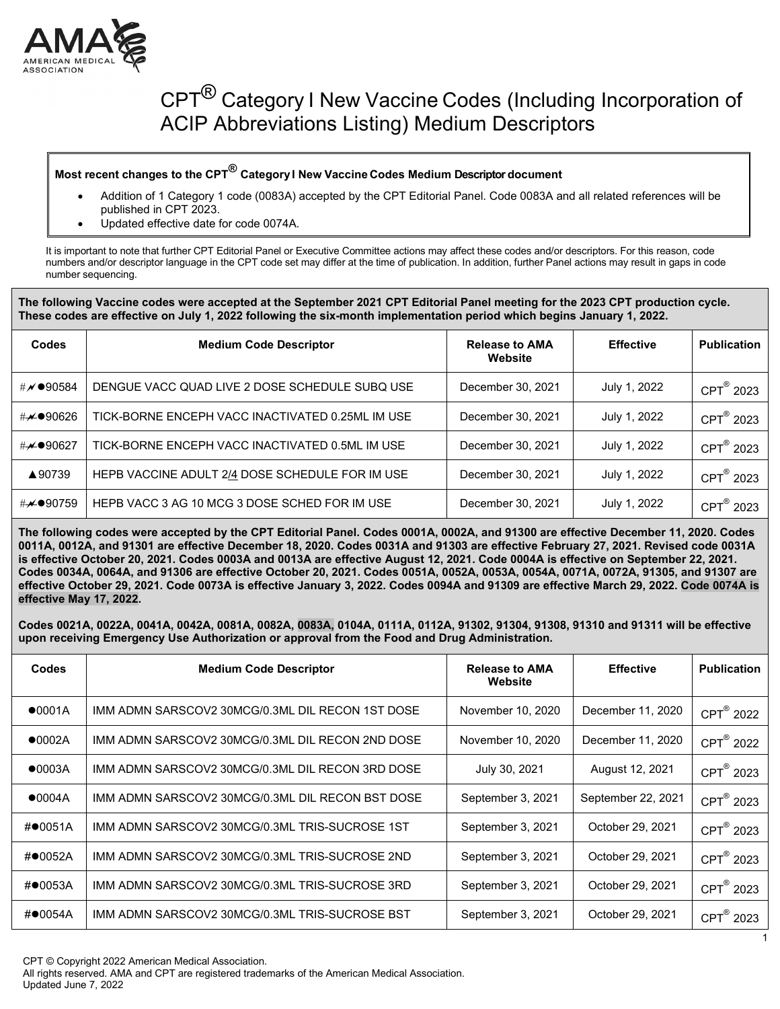

#### **Most recent changes to the CPT® CategoryI New Vaccine Codes Medium Descriptor document**

- Addition of 1 Category 1 code (0083A) accepted by the CPT Editorial Panel. Code 0083A and all related references will be published in CPT 2023.
- Updated effective date for code 0074A.

It is important to note that further CPT Editorial Panel or Executive Committee actions may affect these codes and/or descriptors. For this reason, code numbers and/or descriptor language in the CPT code set may differ at the time of publication. In addition, further Panel actions may result in gaps in code number sequencing.

#### **The following Vaccine codes were accepted at the September 2021 CPT Editorial Panel meeting for the 2023 CPT production cycle. These codes are effective on July 1, 2022 following the six-month implementation period which begins January 1, 2022.**

| Codes    | <b>Medium Code Descriptor</b>                    | <b>Release to AMA</b><br>Website | <b>Effective</b> | <b>Publication</b>     |
|----------|--------------------------------------------------|----------------------------------|------------------|------------------------|
| #∥●90584 | DENGUE VACC QUAD LIVE 2 DOSE SCHEDULE SUBQ USE   | December 30, 2021                | July 1, 2022     | CPT <sup>®</sup> 2023  |
| #⊮●90626 | TICK-BORNE ENCEPH VACC INACTIVATED 0.25ML IM USE | December 30, 2021                | July 1, 2022     | CPT <sup>®</sup> 2023  |
| #≁●90627 | TICK-BORNE ENCEPH VACC INACTIVATED 0.5ML IM USE  | December 30, 2021                | July 1, 2022     | CPT <sup>®</sup> 2023  |
| ▲90739   | HEPB VACCINE ADULT 2/4 DOSE SCHEDULE FOR IM USE  | December 30, 2021                | July 1, 2022     | CPT <sup>®</sup> 2023  |
| #⊬●90759 | HEPB VACC 3 AG 10 MCG 3 DOSE SCHED FOR IM USE    | December 30, 2021                | July 1, 2022     | $CPT^{\circledR}$ 2023 |

**The following codes were accepted by the CPT Editorial Panel. Codes 0001A, 0002A, and 91300 are effective December 11, 2020. Codes 0011A, 0012A, and 91301 are effective December 18, 2020. Codes 0031A and 91303 are effective February 27, 2021. Revised code 0031A is effective October 20, 2021. Codes 0003A and 0013A are effective August 12, 2021. Code 0004A is effective on September 22, 2021. Codes 0034A, 0064A, and 91306 are effective October 20, 2021. Codes 0051A, 0052A, 0053A, 0054A, 0071A, 0072A, 91305, and 91307 are effective October 29, 2021. Code 0073A is effective January 3, 2022. Codes 0094A and 91309 are effective March 29, 2022. Code 0074A is effective May 17, 2022.**

**Codes 0021A, 0022A, 0041A, 0042A, 0081A, 0082A, 0083A, 0104A, 0111A, 0112A, 91302, 91304, 91308, 91310 and 91311 will be effective upon receiving Emergency Use Authorization or approval from the Food and Drug Administration.**

| <b>Codes</b> | <b>Medium Code Descriptor</b>                    | <b>Release to AMA</b><br>Website | <b>Effective</b>   | <b>Publication</b>    |
|--------------|--------------------------------------------------|----------------------------------|--------------------|-----------------------|
| •0001A       | IMM ADMN SARSCOV2 30MCG/0.3ML DIL RECON 1ST DOSE | November 10, 2020                | December 11, 2020  | CPT <sup>®</sup> 2022 |
| •0002A       | IMM ADMN SARSCOV2 30MCG/0.3ML DIL RECON 2ND DOSE | November 10, 2020                | December 11, 2020  | CPT <sup>®</sup> 2022 |
| •0003A       | IMM ADMN SARSCOV2 30MCG/0.3ML DIL RECON 3RD DOSE | July 30, 2021                    | August 12, 2021    | CPT <sup>®</sup> 2023 |
| •0004A       | IMM ADMN SARSCOV2 30MCG/0.3ML DIL RECON BST DOSE | September 3, 2021                | September 22, 2021 | CPT <sup>®</sup> 2023 |
| $\#$ 0051A   | IMM ADMN SARSCOV2 30MCG/0.3ML TRIS-SUCROSE 1ST   | September 3, 2021                | October 29, 2021   | CPT <sup>®</sup> 2023 |
| #●0052A      | IMM ADMN SARSCOV2 30MCG/0.3ML TRIS-SUCROSE 2ND   | September 3, 2021                | October 29, 2021   | CPT <sup>®</sup> 2023 |
| #●0053A      | IMM ADMN SARSCOV2 30MCG/0.3ML TRIS-SUCROSE 3RD   | September 3, 2021                | October 29, 2021   | CPT <sup>®</sup> 2023 |
| #●0054A      | IMM ADMN SARSCOV2 30MCG/0.3ML TRIS-SUCROSE BST   | September 3, 2021                | October 29, 2021   | CPT <sup>®</sup> 2023 |

1

CPT © Copyright 2022 American Medical Association.

All rights reserved. AMA and CPT are registered trademarks of the American Medical Association. Updated June 7, 2022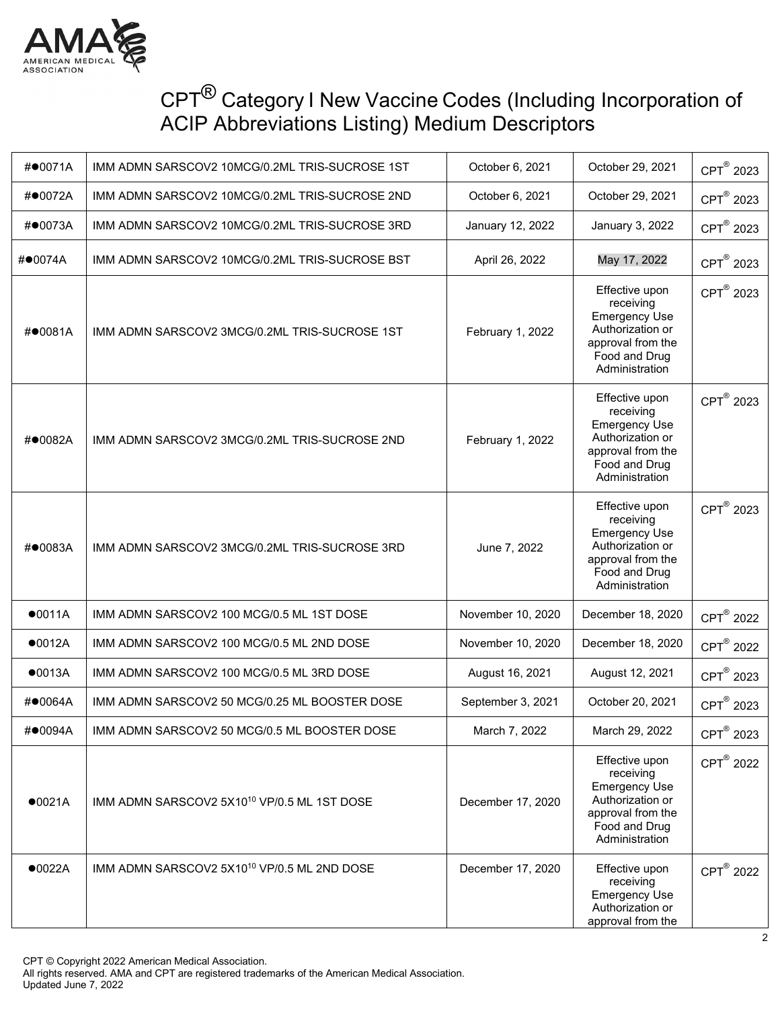

| #●0071A | IMM ADMN SARSCOV2 10MCG/0.2ML TRIS-SUCROSE 1ST          | October 6, 2021   | October 29, 2021                                                                                                                | CPT <sup>®</sup> 2023 |
|---------|---------------------------------------------------------|-------------------|---------------------------------------------------------------------------------------------------------------------------------|-----------------------|
| #●0072A | IMM ADMN SARSCOV2 10MCG/0.2ML TRIS-SUCROSE 2ND          | October 6, 2021   | October 29, 2021                                                                                                                | CPT® 2023             |
| #●0073A | IMM ADMN SARSCOV2 10MCG/0.2ML TRIS-SUCROSE 3RD          | January 12, 2022  | January 3, 2022                                                                                                                 | CPT <sup>®</sup> 2023 |
| #●0074A | IMM ADMN SARSCOV2 10MCG/0.2ML TRIS-SUCROSE BST          | April 26, 2022    | May 17, 2022                                                                                                                    | CPT <sup>®</sup> 2023 |
| #●0081A | IMM ADMN SARSCOV2 3MCG/0.2ML TRIS-SUCROSE 1ST           | February 1, 2022  | Effective upon<br>receiving<br><b>Emergency Use</b><br>Authorization or<br>approval from the<br>Food and Drug<br>Administration | CPT <sup>®</sup> 2023 |
| #●0082A | IMM ADMN SARSCOV2 3MCG/0.2ML TRIS-SUCROSE 2ND           | February 1, 2022  | Effective upon<br>receiving<br><b>Emergency Use</b><br>Authorization or<br>approval from the<br>Food and Drug<br>Administration | CPT <sup>®</sup> 2023 |
| #●0083A | IMM ADMN SARSCOV2 3MCG/0.2ML TRIS-SUCROSE 3RD           | June 7, 2022      | Effective upon<br>receiving<br><b>Emergency Use</b><br>Authorization or<br>approval from the<br>Food and Drug<br>Administration | CPT <sup>®</sup> 2023 |
| •0011A  | IMM ADMN SARSCOV2 100 MCG/0.5 ML 1ST DOSE               | November 10, 2020 | December 18, 2020                                                                                                               | CPT <sup>®</sup> 2022 |
| •0012A  | IMM ADMN SARSCOV2 100 MCG/0.5 ML 2ND DOSE               | November 10, 2020 | December 18, 2020                                                                                                               | CPT <sup>®</sup> 2022 |
| •0013A  | IMM ADMN SARSCOV2 100 MCG/0.5 ML 3RD DOSE               | August 16, 2021   | August 12, 2021                                                                                                                 | CPT <sup>®</sup> 2023 |
| #●0064A | IMM ADMN SARSCOV2 50 MCG/0.25 ML BOOSTER DOSE           | September 3, 2021 | October 20, 2021                                                                                                                | CPT <sup>®</sup> 2023 |
| #●0094A | IMM ADMN SARSCOV2 50 MCG/0.5 ML BOOSTER DOSE            | March 7, 2022     | March 29, 2022                                                                                                                  | CPT <sup>®</sup> 2023 |
| •0021A  | IMM ADMN SARSCOV2 5X10 <sup>10</sup> VP/0.5 ML 1ST DOSE | December 17, 2020 | Effective upon<br>receiving<br><b>Emergency Use</b><br>Authorization or<br>approval from the<br>Food and Drug<br>Administration | CPT <sup>®</sup> 2022 |
| •0022A  | IMM ADMN SARSCOV2 5X10 <sup>10</sup> VP/0.5 ML 2ND DOSE | December 17, 2020 | Effective upon<br>receiving<br><b>Emergency Use</b><br>Authorization or<br>approval from the                                    | CPT <sup>®</sup> 2022 |

CPT © Copyright 2022 American Medical Association.

All rights reserved. AMA and CPT are registered trademarks of the American Medical Association. Updated June 7, 2022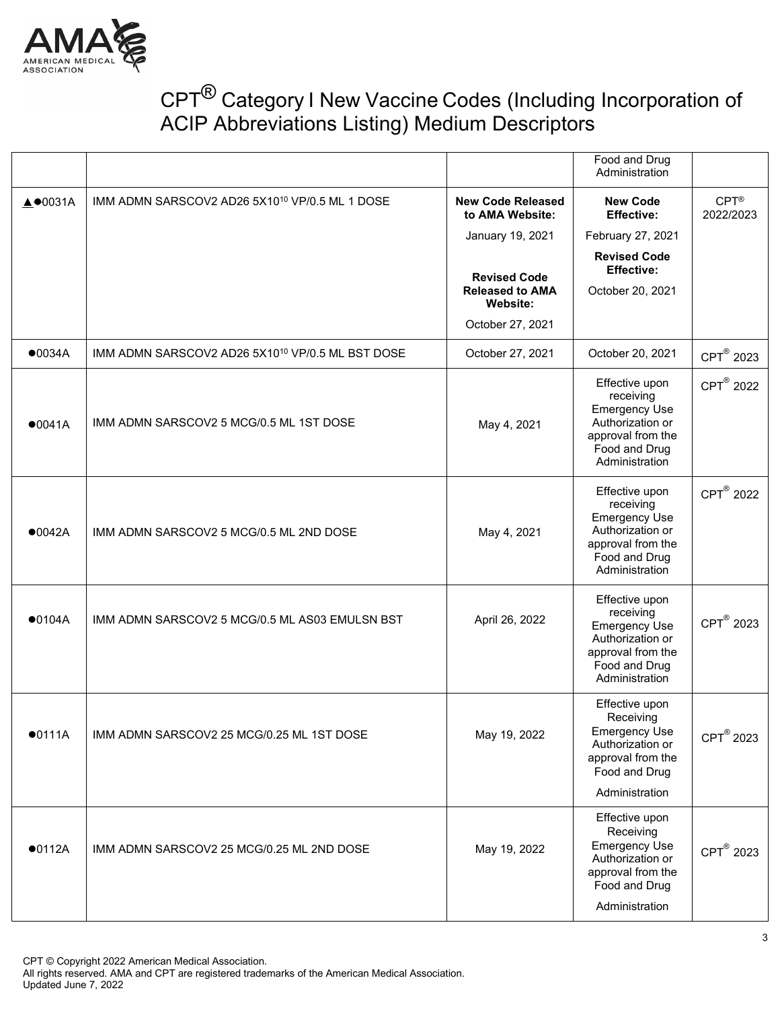

|                 |                                                              |                                                           | Food and Drug<br>Administration                                                                                                 |                                |
|-----------------|--------------------------------------------------------------|-----------------------------------------------------------|---------------------------------------------------------------------------------------------------------------------------------|--------------------------------|
| <b>A</b> ●0031A | IMM ADMN SARSCOV2 AD26 5X10 <sup>10</sup> VP/0.5 ML 1 DOSE   | <b>New Code Released</b><br>to AMA Website:               | <b>New Code</b><br><b>Effective:</b>                                                                                            | $CPT^{\circledR}$<br>2022/2023 |
|                 |                                                              | January 19, 2021                                          | February 27, 2021                                                                                                               |                                |
|                 |                                                              |                                                           | <b>Revised Code</b><br><b>Effective:</b>                                                                                        |                                |
|                 |                                                              | <b>Revised Code</b><br><b>Released to AMA</b><br>Website: | October 20, 2021                                                                                                                |                                |
|                 |                                                              | October 27, 2021                                          |                                                                                                                                 |                                |
| •0034A          | IMM ADMN SARSCOV2 AD26 5X10 <sup>10</sup> VP/0.5 ML BST DOSE | October 27, 2021                                          | October 20, 2021                                                                                                                | CPT <sup>®</sup> 2023          |
| •0041A          | IMM ADMN SARSCOV2 5 MCG/0.5 ML 1ST DOSE                      | May 4, 2021                                               | Effective upon<br>receiving<br><b>Emergency Use</b><br>Authorization or<br>approval from the<br>Food and Drug<br>Administration | CPT <sup>®</sup> 2022          |
| •0042A          | IMM ADMN SARSCOV2 5 MCG/0.5 ML 2ND DOSE                      | May 4, 2021                                               | Effective upon<br>receiving<br><b>Emergency Use</b><br>Authorization or<br>approval from the<br>Food and Drug<br>Administration | CPT <sup>®</sup> 2022          |
| •0104A          | IMM ADMN SARSCOV2 5 MCG/0.5 ML AS03 EMULSN BST               | April 26, 2022                                            | Effective upon<br>receiving<br><b>Emergency Use</b><br>Authorization or<br>approval from the<br>Food and Drug<br>Administration | CPT <sup>®</sup> 2023          |
| •0111A          | IMM ADMN SARSCOV2 25 MCG/0.25 ML 1ST DOSE                    | May 19, 2022                                              | Effective upon<br>Receiving<br><b>Emergency Use</b><br>Authorization or<br>approval from the<br>Food and Drug<br>Administration | CPT® 2023                      |
| •0112A          | IMM ADMN SARSCOV2 25 MCG/0.25 ML 2ND DOSE                    | May 19, 2022                                              | Effective upon<br>Receiving<br><b>Emergency Use</b><br>Authorization or<br>approval from the<br>Food and Drug<br>Administration | CPT <sup>®</sup> 2023          |